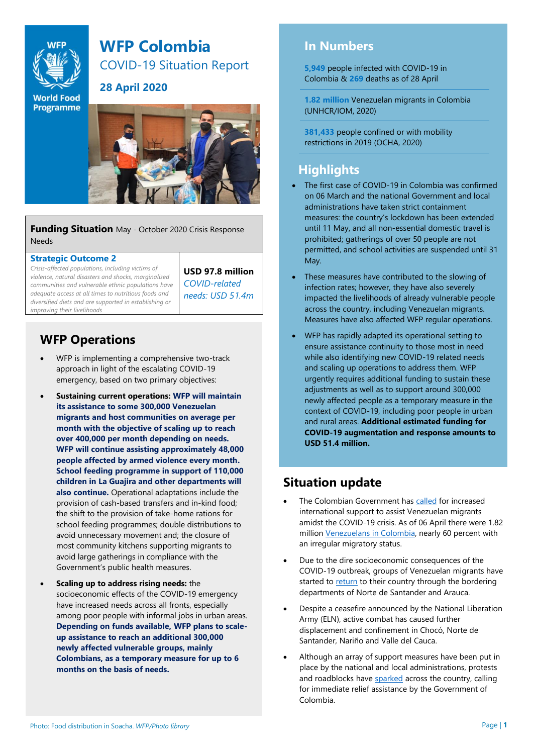

**World Food Programme** 

# **WFP Colombia**

COVID-19 Situation Report

**28 April 2020**

**Funding Situation** May - October 2020 Crisis Response Needs

#### **Strategic Outcome 2**

*Crisis-affected populations, including victims of violence, natural disasters and shocks, marginalised communities and vulnerable ethnic populations have adequate access at all times to nutritious foods and diversified diets and are supported in establishing or improving their livelihoods*

**USD 97.8 million** *COVID-related needs: USD 51.4m*

#### **WFP Operations**

- WFP is implementing a comprehensive two-track approach in light of the escalating COVID-19 emergency, based on two primary objectives:
- **Sustaining current operations: WFP will maintain its assistance to some 300,000 Venezuelan migrants and host communities on average per month with the objective of scaling up to reach over 400,000 per month depending on needs. WFP will continue assisting approximately 48,000 people affected by armed violence every month. School feeding programme in support of 110,000 children in La Guajira and other departments will also continue.** Operational adaptations include the provision of cash-based transfers and in-kind food; the shift to the provision of take-home rations for school feeding programmes; double distributions to avoid unnecessary movement and; the closure of most community kitchens supporting migrants to avoid large gatherings in compliance with the Government's public health measures.
- **Scaling up to address rising needs:** the socioeconomic effects of the COVID-19 emergency have increased needs across all fronts, especially among poor people with informal jobs in urban areas. **Depending on funds available, WFP plans to scaleup assistance to reach an additional 300,000 newly affected vulnerable groups, mainly Colombians, as a temporary measure for up to 6 months on the basis of needs.**

#### **In Numbers**

**5,949** people infected with COVID-19 in Colombia & **269** deaths as of 28 April

**1.82 million** Venezuelan migrants in Colombia (UNHCR/IOM, 2020)

**381,433** people confined or with mobility restrictions in 2019 (OCHA, 2020)

#### **Highlights**

- The first case of COVID-19 in Colombia was confirmed on 06 March and the national Government and local administrations have taken strict containment measures: the country's lockdown has been extended until 11 May, and all non-essential domestic travel is prohibited; gatherings of over 50 people are not permitted, and school activities are suspended until 31 May.
- These measures have contributed to the slowing of infection rates; however, they have also severely impacted the livelihoods of already vulnerable people across the country, including Venezuelan migrants. Measures have also affected WFP regular operations.
- WFP has rapidly adapted its operational setting to ensure assistance continuity to those most in need while also identifying new COVID-19 related needs and scaling up operations to address them. WFP urgently requires additional funding to sustain these adjustments as well as to support around 300,000 newly affected people as a temporary measure in the context of COVID-19, including poor people in urban and rural areas. **Additional estimated funding for COVID-19 augmentation and response amounts to USD 51.4 million.**

### **Situation update**

- The Colombian Government ha[s called](https://www.minsalud.gov.co/Paginas/Colombia-solicita-apoyo-internacional-para-respuesta-al-covid-19-para-los-migrantes.aspx) for increased international support to assist Venezuelan migrants amidst the COVID-19 crisis. As of 06 April there were 1.82 millio[n Venezuelans in Colombia,](https://r4v.info/es/situations/platform/location/7511) nearly 60 percent with an irregular migratory status.
- Due to the dire socioeconomic consequences of the COVID-19 outbreak, groups of Venezuelan migrants have started to [return](https://www.theguardian.com/global-development/2020/apr/16/venezuelans-returning-squalid-quarantine-migrants) to their country through the bordering departments of Norte de Santander and Arauca.
- Despite a ceasefire announced by the National Liberation Army (ELN), active combat has caused further displacement and confinement in Chocó, Norte de Santander, Nariño and Valle del Cauca.
- Although an array of support measures have been put in place by the national and local administrations, protests and roadblocks have [sparked](http://www.rfi.fr/es/am%C3%A9ricas/20200417-protestas-en-colombia-por-hambre-y-falta-de-alimentos) across the country, calling for immediate relief assistance by the Government of Colombia.